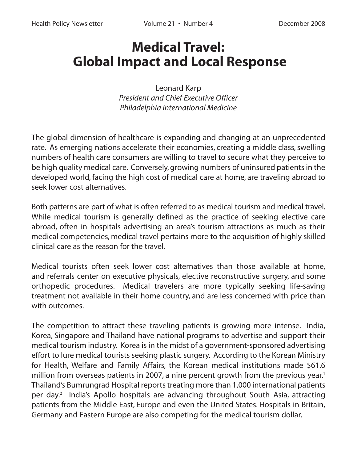## **Medical Travel: Global Impact and Local Response**

Leonard Karp *President and Chief Executive Officer Philadelphia International Medicine*

The global dimension of healthcare is expanding and changing at an unprecedented rate. As emerging nations accelerate their economies, creating a middle class, swelling numbers of health care consumers are willing to travel to secure what they perceive to be high quality medical care. Conversely, growing numbers of uninsured patients in the developed world, facing the high cost of medical care at home, are traveling abroad to seek lower cost alternatives.

Both patterns are part of what is often referred to as medical tourism and medical travel. While medical tourism is generally defined as the practice of seeking elective care abroad, often in hospitals advertising an area's tourism attractions as much as their medical competencies, medical travel pertains more to the acquisition of highly skilled clinical care as the reason for the travel.

Medical tourists often seek lower cost alternatives than those available at home, and referrals center on executive physicals, elective reconstructive surgery, and some orthopedic procedures. Medical travelers are more typically seeking life-saving treatment not available in their home country, and are less concerned with price than with outcomes.

The competition to attract these traveling patients is growing more intense. India, Korea, Singapore and Thailand have national programs to advertise and support their medical tourism industry. Korea is in the midst of a government-sponsored advertising effort to lure medical tourists seeking plastic surgery. According to the Korean Ministry for Health, Welfare and Family Affairs, the Korean medical institutions made \$61.6 million from overseas patients in 2007, a nine percent growth from the previous year.<sup>1</sup> Thailand's Bumrungrad Hospital reports treating more than 1,000 international patients per day.<sup>2</sup> India's Apollo hospitals are advancing throughout South Asia, attracting patients from the Middle East, Europe and even the United States. Hospitals in Britain, Germany and Eastern Europe are also competing for the medical tourism dollar.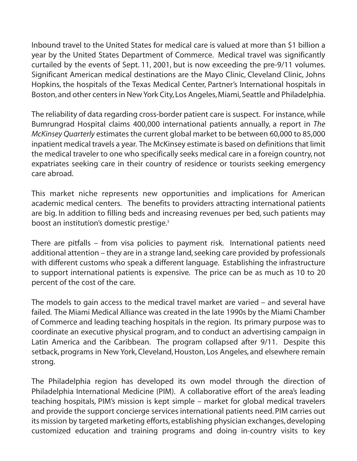Inbound travel to the United States for medical care is valued at more than \$1 billion a year by the United States Department of Commerce. Medical travel was significantly curtailed by the events of Sept. 11, 2001, but is now exceeding the pre-9/11 volumes. Significant American medical destinations are the Mayo Clinic, Cleveland Clinic, Johns Hopkins, the hospitals of the Texas Medical Center, Partner's International hospitals in Boston, and other centers in New York City, Los Angeles, Miami, Seattle and Philadelphia.

The reliability of data regarding cross-border patient care is suspect. For instance, while Bumrungrad Hospital claims 400,000 international patients annually, a report in *The McKinsey Quarterly* estimates the current global market to be between 60,000 to 85,000 inpatient medical travels a year. The McKinsey estimate is based on definitions that limit the medical traveler to one who specifically seeks medical care in a foreign country, not expatriates seeking care in their country of residence or tourists seeking emergency care abroad.

This market niche represents new opportunities and implications for American academic medical centers. The benefits to providers attracting international patients are big. In addition to filling beds and increasing revenues per bed, such patients may boost an institution's domestic prestige.<sup>3</sup>

There are pitfalls – from visa policies to payment risk. International patients need additional attention – they are in a strange land, seeking care provided by professionals with different customs who speak a different language. Establishing the infrastructure to support international patients is expensive. The price can be as much as 10 to 20 percent of the cost of the care.

The models to gain access to the medical travel market are varied – and several have failed. The Miami Medical Alliance was created in the late 1990s by the Miami Chamber of Commerce and leading teaching hospitals in the region. Its primary purpose was to coordinate an executive physical program, and to conduct an advertising campaign in Latin America and the Caribbean. The program collapsed after 9/11. Despite this setback, programs in New York, Cleveland, Houston, Los Angeles, and elsewhere remain strong.

The Philadelphia region has developed its own model through the direction of Philadelphia International Medicine (PIM). A collaborative effort of the area's leading teaching hospitals, PIM's mission is kept simple – market for global medical travelers and provide the support concierge services international patients need. PIM carries out its mission by targeted marketing efforts, establishing physician exchanges, developing customized education and training programs and doing in-country visits to key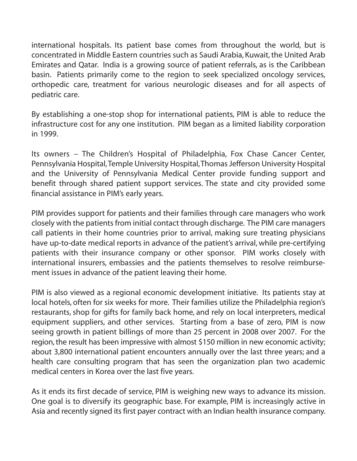international hospitals. Its patient base comes from throughout the world, but is concentrated in Middle Eastern countries such as Saudi Arabia, Kuwait, the United Arab Emirates and Qatar. India is a growing source of patient referrals, as is the Caribbean basin. Patients primarily come to the region to seek specialized oncology services, orthopedic care, treatment for various neurologic diseases and for all aspects of pediatric care.

By establishing a one-stop shop for international patients, PIM is able to reduce the infrastructure cost for any one institution. PIM began as a limited liability corporation in 1999.

Its owners – The Children's Hospital of Philadelphia, Fox Chase Cancer Center, Pennsylvania Hospital,Temple University Hospital,Thomas Jefferson University Hospital and the University of Pennsylvania Medical Center provide funding support and benefit through shared patient support services. The state and city provided some financial assistance in PIM's early years.

PIM provides support for patients and their families through care managers who work closely with the patients from initial contact through discharge. The PIM care managers call patients in their home countries prior to arrival, making sure treating physicians have up-to-date medical reports in advance of the patient's arrival, while pre-certifying patients with their insurance company or other sponsor. PIM works closely with international insurers, embassies and the patients themselves to resolve reimbursement issues in advance of the patient leaving their home.

PIM is also viewed as a regional economic development initiative. Its patients stay at local hotels, often for six weeks for more. Their families utilize the Philadelphia region's restaurants, shop for gifts for family back home, and rely on local interpreters, medical equipment suppliers, and other services. Starting from a base of zero, PIM is now seeing growth in patient billings of more than 25 percent in 2008 over 2007. For the region, the result has been impressive with almost \$150 million in new economic activity; about 3,800 international patient encounters annually over the last three years; and a health care consulting program that has seen the organization plan two academic medical centers in Korea over the last five years.

As it ends its first decade of service, PIM is weighing new ways to advance its mission. One goal is to diversify its geographic base. For example, PIM is increasingly active in Asia and recently signed its first payer contract with an Indian health insurance company.